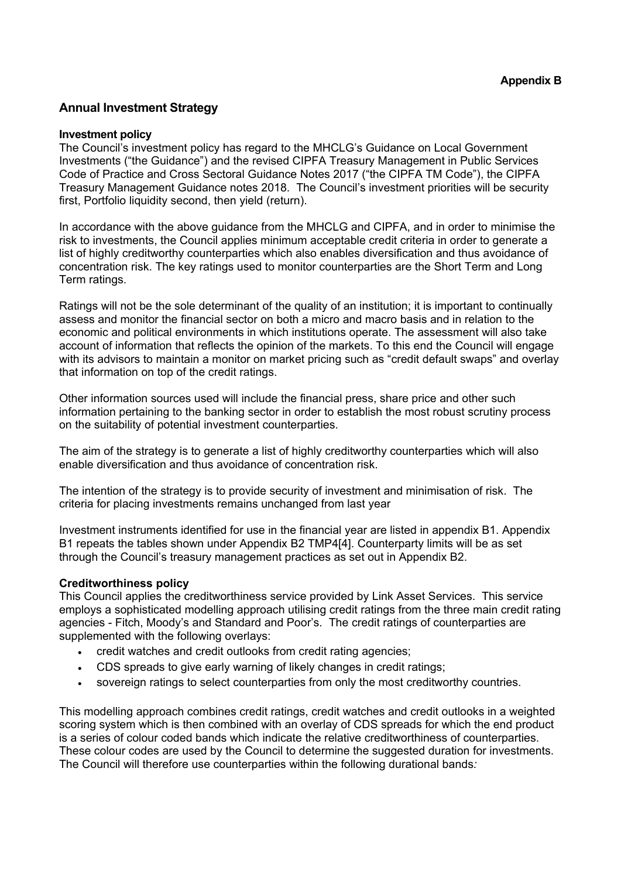# **Annual Investment Strategy**

#### **Investment policy**

The Council's investment policy has regard to the MHCLG's Guidance on Local Government Investments ("the Guidance") and the revised CIPFA Treasury Management in Public Services Code of Practice and Cross Sectoral Guidance Notes 2017 ("the CIPFA TM Code"), the CIPFA Treasury Management Guidance notes 2018. The Council's investment priorities will be security first, Portfolio liquidity second, then yield (return).

In accordance with the above guidance from the MHCLG and CIPFA, and in order to minimise the risk to investments, the Council applies minimum acceptable credit criteria in order to generate a list of highly creditworthy counterparties which also enables diversification and thus avoidance of concentration risk. The key ratings used to monitor counterparties are the Short Term and Long Term ratings.

Ratings will not be the sole determinant of the quality of an institution; it is important to continually assess and monitor the financial sector on both a micro and macro basis and in relation to the economic and political environments in which institutions operate. The assessment will also take account of information that reflects the opinion of the markets. To this end the Council will engage with its advisors to maintain a monitor on market pricing such as "credit default swaps" and overlay that information on top of the credit ratings.

Other information sources used will include the financial press, share price and other such information pertaining to the banking sector in order to establish the most robust scrutiny process on the suitability of potential investment counterparties.

The aim of the strategy is to generate a list of highly creditworthy counterparties which will also enable diversification and thus avoidance of concentration risk.

The intention of the strategy is to provide security of investment and minimisation of risk. The criteria for placing investments remains unchanged from last year

Investment instruments identified for use in the financial year are listed in appendix B1. Appendix B1 repeats the tables shown under Appendix B2 TMP4[4]. Counterparty limits will be as set through the Council's treasury management practices as set out in Appendix B2.

## **Creditworthiness policy**

This Council applies the creditworthiness service provided by Link Asset Services. This service employs a sophisticated modelling approach utilising credit ratings from the three main credit rating agencies - Fitch, Moody's and Standard and Poor's. The credit ratings of counterparties are supplemented with the following overlays:

- credit watches and credit outlooks from credit rating agencies;
- CDS spreads to give early warning of likely changes in credit ratings;
- sovereign ratings to select counterparties from only the most creditworthy countries.

This modelling approach combines credit ratings, credit watches and credit outlooks in a weighted scoring system which is then combined with an overlay of CDS spreads for which the end product is a series of colour coded bands which indicate the relative creditworthiness of counterparties. These colour codes are used by the Council to determine the suggested duration for investments. The Council will therefore use counterparties within the following durational bands*:*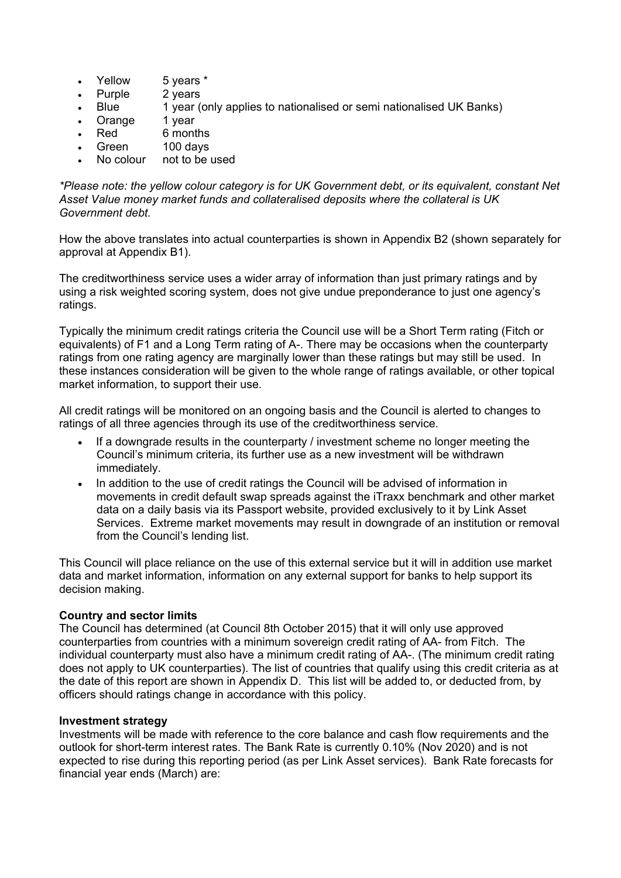- Yellow 5 years \*
- Purple 2 years
- Blue 1 year (only applies to nationalised or semi nationalised UK Banks)
- Orange 1 year
- Red 6 months
- Green 100 days
- No colour not to be used

*\*Please note: the yellow colour category is for UK Government debt, or its equivalent, constant Net Asset Value money market funds and collateralised deposits where the collateral is UK Government debt.*

How the above translates into actual counterparties is shown in Appendix B2 (shown separately for approval at Appendix B1).

The creditworthiness service uses a wider array of information than just primary ratings and by using a risk weighted scoring system, does not give undue preponderance to just one agency's ratings.

Typically the minimum credit ratings criteria the Council use will be a Short Term rating (Fitch or equivalents) of F1 and a Long Term rating of A-. There may be occasions when the counterparty ratings from one rating agency are marginally lower than these ratings but may still be used. In these instances consideration will be given to the whole range of ratings available, or other topical market information, to support their use.

All credit ratings will be monitored on an ongoing basis and the Council is alerted to changes to ratings of all three agencies through its use of the creditworthiness service.

- If a downgrade results in the counterparty / investment scheme no longer meeting the Council's minimum criteria, its further use as a new investment will be withdrawn immediately.
- In addition to the use of credit ratings the Council will be advised of information in movements in credit default swap spreads against the iTraxx benchmark and other market data on a daily basis via its Passport website, provided exclusively to it by Link Asset Services. Extreme market movements may result in downgrade of an institution or removal from the Council's lending list.

This Council will place reliance on the use of this external service but it will in addition use market data and market information, information on any external support for banks to help support its decision making.

## **Country and sector limits**

The Council has determined (at Council 8th October 2015) that it will only use approved counterparties from countries with a minimum sovereign credit rating of AA- from Fitch. The individual counterparty must also have a minimum credit rating of AA-. (The minimum credit rating does not apply to UK counterparties). The list of countries that qualify using this credit criteria as at the date of this report are shown in Appendix D. This list will be added to, or deducted from, by officers should ratings change in accordance with this policy.

## **Investment strategy**

Investments will be made with reference to the core balance and cash flow requirements and the outlook for short-term interest rates. The Bank Rate is currently 0.10% (Nov 2020) and is not expected to rise during this reporting period (as per Link Asset services). Bank Rate forecasts for financial year ends (March) are: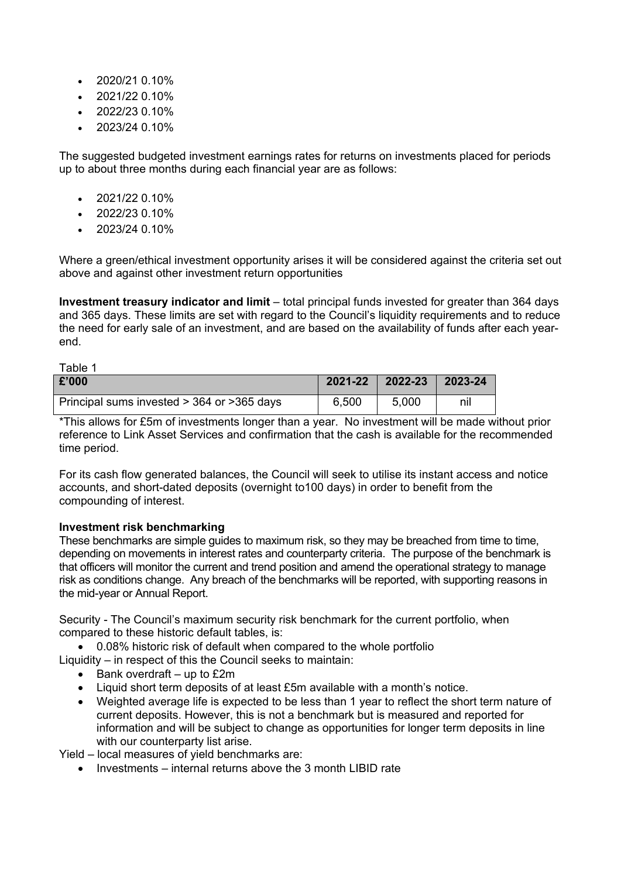- $2020/21010\%$
- 2021/22 0.10%
- 2022/23 0.10%
- 2023/24 0.10%

The suggested budgeted investment earnings rates for returns on investments placed for periods up to about three months during each financial year are as follows:

- $\cdot$  2021/22 0.10%
- $2022/230.10\%$
- 2023/24 0.10%

Where a green/ethical investment opportunity arises it will be considered against the criteria set out above and against other investment return opportunities

**Investment treasury indicator and limit** – total principal funds invested for greater than 364 days and 365 days. These limits are set with regard to the Council's liquidity requirements and to reduce the need for early sale of an investment, and are based on the availability of funds after each yearend.

| Table 1                                     |             |             |         |
|---------------------------------------------|-------------|-------------|---------|
| £'000                                       | $2021 - 22$ | $2022 - 23$ | 2023-24 |
| Principal sums invested > 364 or > 365 days | 6,500       | 5.000       | nil     |

\*This allows for £5m of investments longer than a year. No investment will be made without prior reference to Link Asset Services and confirmation that the cash is available for the recommended time period.

For its cash flow generated balances, the Council will seek to utilise its instant access and notice accounts, and short-dated deposits (overnight to100 days) in order to benefit from the compounding of interest.

# **Investment risk benchmarking**

These benchmarks are simple guides to maximum risk, so they may be breached from time to time, depending on movements in interest rates and counterparty criteria. The purpose of the benchmark is that officers will monitor the current and trend position and amend the operational strategy to manage risk as conditions change. Any breach of the benchmarks will be reported, with supporting reasons in the mid-year or Annual Report.

Security - The Council's maximum security risk benchmark for the current portfolio, when compared to these historic default tables, is:

0.08% historic risk of default when compared to the whole portfolio

Liquidity – in respect of this the Council seeks to maintain:

- $\bullet$  Bank overdraft up to £2m
- Liquid short term deposits of at least £5m available with a month's notice.
- Weighted average life is expected to be less than 1 year to reflect the short term nature of current deposits. However, this is not a benchmark but is measured and reported for information and will be subject to change as opportunities for longer term deposits in line with our counterparty list arise.

Yield – local measures of yield benchmarks are:

 $\bullet$  Investments – internal returns above the 3 month LIBID rate